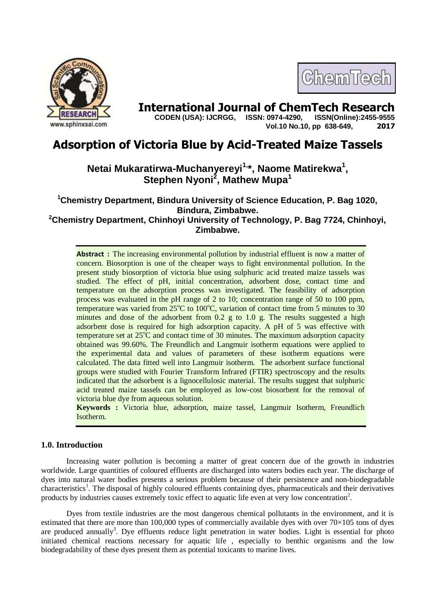

# **International Journal of ChemTech Research copen (USA): IJCRGG. ISSN: 0974-4290. ISSN(Online):2455-9555**

 **CODEN (USA): IJCRGG, ISSN: 0974-4290, Vol.10 No.10, pp 638-649, 2017**

ChemTech

# **Adsorption of Victoria Blue by Acid-Treated Maize Tassels**

# **Netai Mukaratirwa-Muchanyereyi1, \*, Naome Matirekwa<sup>1</sup> , Stephen Nyoni<sup>2</sup> , Mathew Mupa<sup>1</sup>**

**<sup>1</sup>Chemistry Department, Bindura University of Science Education, P. Bag 1020, Bindura, Zimbabwe. <sup>2</sup>Chemistry Department, Chinhoyi University of Technology, P. Bag 7724, Chinhoyi,** 

**Zimbabwe.**

**Abstract :** The increasing environmental pollution by industrial effluent is now a matter of concern. Biosorption is one of the cheaper ways to fight environmental pollution. In the present study biosorption of victoria blue using sulphuric acid treated maize tassels was studied. The effect of pH, initial concentration, adsorbent dose, contact time and temperature on the adsorption process was investigated. The feasibility of adsorption process was evaluated in the pH range of 2 to 10; concentration range of 50 to 100 ppm, temperature was varied from  $25^{\circ}$ C to 100 $^{\circ}$ C, variation of contact time from 5 minutes to 30 minutes and dose of the adsorbent from 0.2 g to 1.0 g. The results suggested a high adsorbent dose is required for high adsorption capacity. A pH of 5 was effective with temperature set at  $25^{\circ}$ C and contact time of 30 minutes. The maximum adsorption capacity obtained was 99.60%. The Freundlich and Langmuir isotherm equations were applied to the experimental data and values of parameters of these isotherm equations were calculated. The data fitted well into Langmuir isotherm. The adsorbent surface functional groups were studied with Fourier Transform Infrared (FTIR) spectroscopy and the results indicated that the adsorbent is a lignocellulosic material. The results suggest that sulphuric acid treated maize tassels can be employed as low-cost biosorbent for the removal of victoria blue dye from aqueous solution.

**Keywords :** Victoria blue, adsorption, maize tassel, Langmuir Isotherm, Freundlich Isotherm.

# **1.0. Introduction**

Increasing water pollution is becoming a matter of great concern due of the growth in industries worldwide. Large quantities of coloured effluents are discharged into waters bodies each year. The discharge of dyes into natural water bodies presents a serious problem because of their persistence and non-biodegradable characteristics<sup>1</sup>. The disposal of highly coloured effluents containing dyes, pharmaceuticals and their derivatives products by industries causes extremely toxic effect to aquatic life even at very low concentration<sup>2</sup>.

Dyes from textile industries are the most dangerous chemical pollutants in the environment, and it is estimated that there are more than 100,000 types of commercially available dyes with over  $70\times105$  tons of dyes are produced annually<sup>3</sup>. Dye effluents reduce light penetration in water bodies. Light is essential for photo initiated chemical reactions necessary for aquatic life , especially to benthic organisms and the low biodegradability of these dyes present them as potential toxicants to marine lives.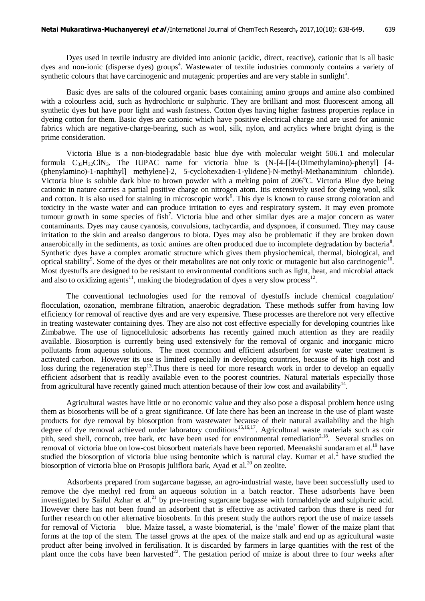Dyes used in textile industry are divided into anionic (acidic, direct, reactive), cationic that is all basic dyes and non-ionic (disperse dyes) groups<sup>4</sup>. Wastewater of textile industries commonly contains a variety of synthetic colours that have carcinogenic and mutagenic properties and are very stable in sunlight<sup>5</sup>.

Basic dyes are salts of the coloured organic bases containing amino groups and amine also combined with a colourless acid, such as hydrochloric or sulphuric. They are brilliant and most fluorescent among all synthetic dyes but have poor light and wash fastness. Cotton dyes having higher fastness properties replace in dyeing cotton for them. Basic dyes are cationic which have positive electrical charge and are used for anionic fabrics which are negative-charge-bearing, such as wool, silk, nylon, and acrylics where bright dying is the prime consideration.

Victoria Blue is a non-biodegradable basic blue dye with molecular weight 506.1 and molecular formula  $C_{33}H_{32}CN_3$ . The IUPAC name for victoria blue is  $(N-[4-[14-Oimethvlamino)-phenyl]$  [4-(phenylamino)-1-naphthyl] methylene]-2, 5-cyclohexadien-1-ylidene]-N-methyl-Methanaminium chloride). Victoria blue is soluble dark blue to brown powder with a melting point of  $206^{\circ}$ C. Victoria Blue dye being cationic in nature carries a partial positive charge on nitrogen atom. Itis extensively used for dyeing wool, silk and cotton. It is also used for staining in microscopic work<sup>6</sup>. This dye is known to cause strong coloration and toxicity in the waste water and can produce irritation to eyes and respiratory system. It may even promote tumour growth in some species of fish<sup>7</sup>. Victoria blue and other similar dyes are a major concern as water contaminants. Dyes may cause cyanosis, convulsions, tachycardia, and dyspnoea, if consumed. They may cause irritation to the skin and arealso dangerous to biota. Dyes may also be problematic if they are broken down anaerobically in the sediments, as toxic amines are often produced due to incomplete degradation by bacteria<sup>8</sup>. Synthetic dyes have a complex aromatic structure which gives them physiochemical, thermal, biological, and optical stability<sup>9</sup>. Some of the dyes or their metabolites are not only toxic or mutagenic but also carcinogenic<sup>10</sup>. Most dyestuffs are designed to be resistant to environmental conditions such as light, heat, and microbial attack and also to oxidizing agents<sup>11</sup>, making the biodegradation of dyes a very slow process<sup>12</sup>.

The conventional technologies used for the removal of dyestuffs include chemical coagulation/ flocculation, ozonation, membrane filtration, anaerobic degradation. These methods suffer from having low efficiency for removal of reactive dyes and are very expensive. These processes are therefore not very effective in treating wastewater containing dyes. They are also not cost effective especially for developing countries like Zimbabwe. The use of lignocellulosic adsorbents has recently gained much attention as they are readily available. Biosorption is currently being used extensively for the removal of organic and inorganic micro pollutants from aqueous solutions. The most common and efficient adsorbent for waste water treatment is activated carbon. However its use is limited especially in developing countries, because of its high cost and loss during the regeneration step<sup>13</sup>. Thus there is need for more research work in order to develop an equally efficient adsorbent that is readily available even to the poorest countries. Natural materials especially those from agricultural have recently gained much attention because of their low cost and availability $14$ .

Agricultural wastes have little or no economic value and they also pose a disposal problem hence using them as biosorbents will be of a great significance. Of late there has been an increase in the use of plant waste products for dye removal by biosorption from wastewater because of their natural availability and the high degree of dye removal achieved under laboratory conditions<sup>15,16,17</sup>. Agricultural waste materials such as coir pith, seed shell, corncob, tree bark, etc have been used for environmental remediation<sup>2,18</sup>. Several studies on removal of victoria blue on low-cost biosorbent materials have been reported. Meenakshi sundaram et al.<sup>19</sup> have studied the biosorption of victoria blue using bentonite which is natural clay. Kumar et al.<sup>2</sup> have studied the biosorption of victoria blue on Prosopis juliflora bark, Ayad et al.<sup>20</sup> on zeolite.

Adsorbents prepared from sugarcane bagasse, an agro-industrial waste, have been successfully used to remove the dye methyl red from an aqueous solution in a batch reactor. These adsorbents have been investigated by Saiful Azhar et al.<sup>21</sup> by pre-treating sugarcane bagasse with formaldehyde and sulphuric acid. However there has not been found an adsorbent that is effective as activated carbon thus there is need for further research on other alternative biosobents. In this present study the authors report the use of maize tassels for removal of Victoria blue. Maize tassel, a waste biomaterial, is the 'male' flower of the maize plant that forms at the top of the stem. The tassel grows at the apex of the maize stalk and end up as agricultural waste product after being involved in fertilisation. It is discarded by farmers in large quantities with the rest of the plant once the cobs have been harvested<sup>22</sup>. The gestation period of maize is about three to four weeks after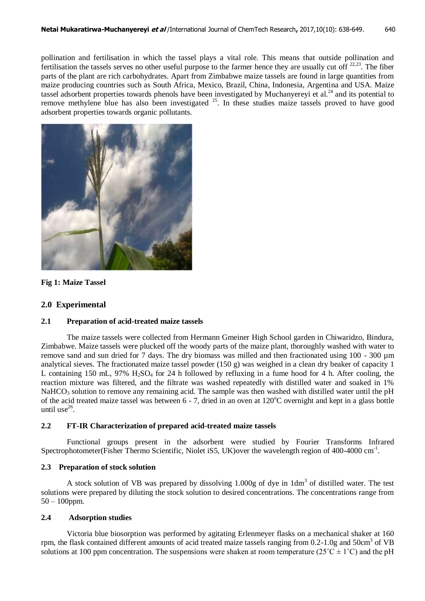pollination and fertilisation in which the tassel plays a vital role. This means that outside pollination and fertilisation the tassels serves no other useful purpose to the farmer hence they are usually cut of  $22,23$ . The fiber parts of the plant are rich carbohydrates. Apart from Zimbabwe maize tassels are found in large quantities from maize producing countries such as South Africa, Mexico, Brazil, China, Indonesia, Argentina and USA. Maize tassel adsorbent properties towards phenols have been investigated by Muchanyereyi et al.<sup>24</sup> and its potential to remove methylene blue has also been investigated <sup>25</sup>. In these studies maize tassels proved to have good adsorbent properties towards organic pollutants.



### **Fig 1: Maize Tassel**

# **2.0 Experimental**

### **2.1 Preparation of acid-treated maize tassels**

The maize tassels were collected from Hermann Gmeiner High School garden in Chiwaridzo, Bindura, Zimbabwe. Maize tassels were plucked off the woody parts of the maize plant, thoroughly washed with water to remove sand and sun dried for 7 days. The dry biomass was milled and then fractionated using 100 - 300 µm analytical sieves. The fractionated maize tassel powder (150 g) was weighed in a clean dry beaker of capacity 1 L containing 150 mL, 97%  $H_2SO_4$  for 24 h followed by refluxing in a fume hood for 4 h. After cooling, the reaction mixture was filtered, and the filtrate was washed repeatedly with distilled water and soaked in 1% NaHCO<sub>3</sub> solution to remove any remaining acid. The sample was then washed with distilled water until the pH of the acid treated maize tassel was between  $6 - 7$ , dried in an oven at  $120^{\circ}$ C overnight and kept in a glass bottle until use $^{26}$ .

# **2.2 FT-IR Characterization of prepared acid-treated maize tassels**

Functional groups present in the adsorbent were studied by Fourier Transforms Infrared Spectrophotometer(Fisher Thermo Scientific, Niolet iS5, UK) over the wavelength region of 400-4000 cm<sup>-1</sup>.

# **2.3 Preparation of stock solution**

A stock solution of VB was prepared by dissolving  $1.000g$  of dye in  $1dm<sup>3</sup>$  of distilled water. The test solutions were prepared by diluting the stock solution to desired concentrations. The concentrations range from 50 – 100ppm.

### **2.4 Adsorption studies**

Victoria blue biosorption was performed by agitating Erlenmeyer flasks on a mechanical shaker at 160 rpm, the flask contained different amounts of acid treated maize tassels ranging from  $0.2$ -1.0g and  $50 \text{cm}^3$  of VB solutions at 100 ppm concentration. The suspensions were shaken at room temperature ( $25^{\circ}C \pm 1^{\circ}C$ ) and the pH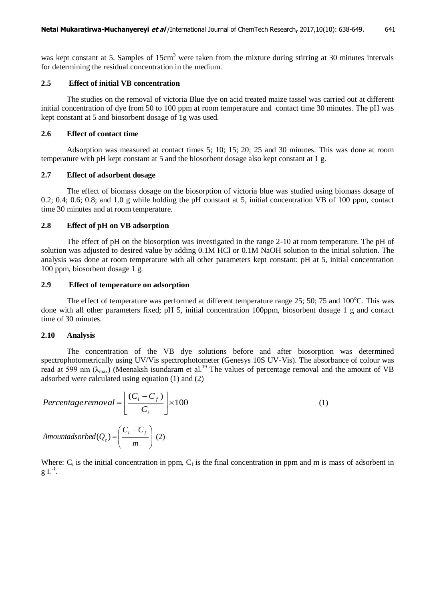was kept constant at 5. Samples of 15cm<sup>3</sup> were taken from the mixture during stirring at 30 minutes intervals for determining the residual concentration in the medium.

# **2.5 Effect of initial VB concentration**

The studies on the removal of victoria Blue dye on acid treated maize tassel was carried out at different initial concentration of dye from 50 to 100 ppm at room temperature and contact time 30 minutes. The pH was kept constant at 5 and biosorbent dosage of 1g was used.

#### **2.6 Effect of contact time**

Adsorption was measured at contact times 5; 10; 15; 20; 25 and 30 minutes. This was done at room temperature with pH kept constant at 5 and the biosorbent dosage also kept constant at 1 g.

# **2.7 Effect of adsorbent dosage**

The effect of biomass dosage on the biosorption of victoria blue was studied using biomass dosage of 0.2; 0.4; 0.6; 0.8; and 1.0 g while holding the pH constant at 5, initial concentration VB of 100 ppm, contact time 30 minutes and at room temperature.

# **2.8 Effect of pH on VB adsorption**

The effect of pH on the biosorption was investigated in the range 2-10 at room temperature. The pH of solution was adjusted to desired value by adding 0.1M HCl or 0.1M NaOH solution to the initial solution. The analysis was done at room temperature with all other parameters kept constant: pH at 5, initial concentration 100 ppm, biosorbent dosage 1 g.

## **2.9 Effect of temperature on adsorption**

The effect of temperature was performed at different temperature range  $25$ ;  $50$ ;  $75$  and  $100^{\circ}$ C. This was done with all other parameters fixed; pH 5, initial concentration 100ppm, biosorbent dosage 1 g and contact time of 30 minutes.

# **2.10 Analysis**

The concentration of the VB dye solutions before and after biosorption was determined spectrophotometrically using UV/Vis spectrophotometer (Genesys 10S UV-Vis). The absorbance of colour was read at 599 nm  $(\lambda_{\text{max}})$  (Meenaksh isundaram et al.<sup>19</sup> The values of percentage removal and the amount of VB adsorbed were calculated using equation (1) and (2)

$$
Percentage removal = \left[ \frac{(C_i - C_f)}{C_i} \right] \times 100
$$
\n
$$
Amount adsorbed(Q_e) = \left( \frac{C_i - C_f}{m} \right) (2)
$$
\n(1)

Where:  $C_i$  is the initial concentration in ppm,  $C_f$  is the final concentration in ppm and m is mass of adsorbent in  $g L^{-1}$ .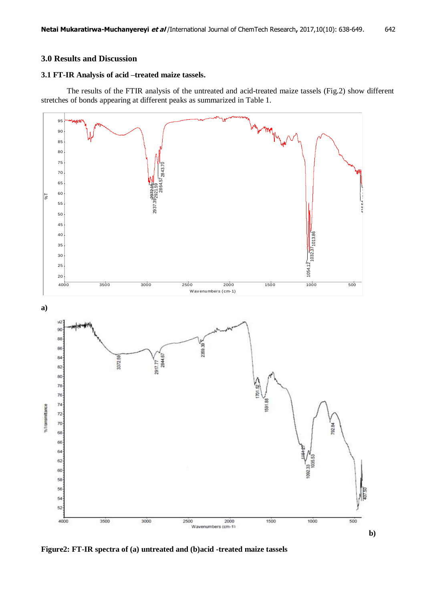# **3.0 Results and Discussion**

# **3.1 FT-IR Analysis of acid –treated maize tassels.**

The results of the FTIR analysis of the untreated and acid-treated maize tassels (Fig.2) show different stretches of bonds appearing at different peaks as summarized in Table 1.

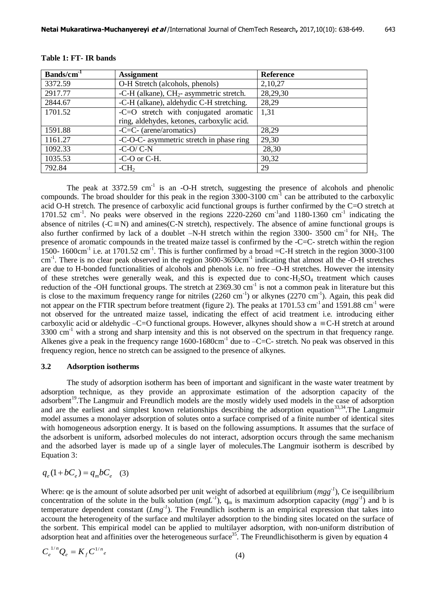| Bands/cm <sup>-1</sup> | <b>Assignment</b>                          | <b>Reference</b> |
|------------------------|--------------------------------------------|------------------|
| 3372.59                | O-H Stretch (alcohols, phenols)            | 2,10,27          |
| 2917.77                | -C-H (alkane), $CH2$ - asymmetric stretch. | 28,29,30         |
| 2844.67                | -C-H (alkane), aldehydic C-H stretching.   | 28,29            |
| 1701.52                | $-C=O$ stretch with conjugated aromatic    | 1.31             |
|                        | ring, aldehydes, ketones, carboxylic acid. |                  |
| 1591.88                | $-C=C-$ (arene/aromatics)                  | 28,29            |
| 1161.27                | -C-O-C- asymmetric stretch in phase ring   | 29,30            |
| 1092.33                | $-C-O/C-N$                                 | 28,30            |
| 1035.53                | -C-O or C-H.                               | 30,32            |
| 792.84                 | $-CH2$                                     | 29               |

#### **Table 1: FT- IR bands**

The peak at  $3372.59$  cm<sup>-1</sup> is an -O-H stretch, suggesting the presence of alcohols and phenolic compounds. The broad shoulder for this peak in the region  $3300$ -3100 cm<sup>-1</sup> can be attributed to the carboxylic acid O-H stretch. The presence of carboxylic acid functional groups is further confirmed by the C=O stretch at 1701.52 cm<sup>-1</sup>. No peaks were observed in the regions  $2220-2260$  cm<sup>-1</sup> and 1180-1360 cm<sup>-1</sup> indicating the absence of nitriles  $\overline{(-C \equiv N)}$  and amines(C-N stretch), respectively. The absence of amine functional groups is also further confirmed by lack of a doublet  $-N-H$  stretch within the region 3300- 3500 cm<sup>-1</sup> for NH<sub>2</sub>. The presence of aromatic compounds in the treated maize tassel is confirmed by the -C=C- stretch within the region 1500- 1600cm<sup>-1</sup> i.e. at 1701.52 cm<sup>-1</sup>. This is further confirmed by a broad = C-H stretch in the region 3000-3100 cm<sup>-1</sup>. There is no clear peak observed in the region 3600-3650cm<sup>-1</sup> indicating that almost all the -O-H stretches are due to H-bonded functionalities of alcohols and phenols i.e. no free –O-H stretches. However the intensity of these stretches were generally weak, and this is expected due to conc- $H<sub>2</sub>SO<sub>4</sub>$  treatment which causes reduction of the -OH functional groups. The stretch at  $2369.30 \text{ cm}^{-1}$  is not a common peak in literature but this is close to the maximum frequency range for nitriles  $(2260 \text{ cm}^{-1})$  or alkynes  $(2270 \text{ cm}^{-1})$ . Again, this peak did not appear on the FTIR spectrum before treatment (figure 2). The peaks at 1701.53 cm<sup>-1</sup> and 1591.88 cm<sup>-1</sup> were not observed for the untreated maize tassel, indicating the effect of acid treatment i.e. introducing either carboxylic acid or aldehydic  $-C=O$  functional groups. However, alkynes should show a  $\equiv C-H$  stretch at around 3300 cm<sup>-1</sup> with a strong and sharp intensity and this is not observed on the spectrum in that frequency range. Alkenes give a peak in the frequency range  $1600 - 1680 \text{cm}^{-1}$  due to  $-C=C$ - stretch. No peak was observed in this frequency region, hence no stretch can be assigned to the presence of alkynes.

#### **3.2 Adsorption isotherms**

The study of adsorption isotherm has been of important and significant in the waste water treatment by adsorption technique, as they provide an approximate estimation of the adsorption capacity of the adsorbent<sup>19</sup>. The Langmuir and Freundlich models are the mostly widely used models in the case of adsorption and are the earliest and simplest known relationships describing the adsorption equation<sup>33,34</sup>. The Langmuir model assumes a monolayer adsorption of solutes onto a surface comprised of a finite number of identical sites with homogeneous adsorption energy. It is based on the following assumptions. It assumes that the surface of the adsorbent is uniform, adsorbed molecules do not interact, adsorption occurs through the same mechanism and the adsorbed layer is made up of a single layer of molecules.The Langmuir isotherm is described by Equation 3:

$$
q_e(1+bC_e) = q_m b C_e \quad (3)
$$

Where: qe is the amount of solute adsorbed per unit weight of adsorbed at equilibrium  $(mgg^{-1})$ , Ce isequilibrium concentration of the solute in the bulk solution  $(mgL^{-1})$ ,  $q_m$  is maximum adsorption capacity  $(mgg^{-1})$  and b is temperature dependent constant (*Lmg-1* ). The Freundlich isotherm is an empirical expression that takes into account the heterogeneity of the surface and multilayer adsorption to the binding sites located on the surface of the sorbent. This empirical model can be applied to multilayer adsorption, with non-uniform distribution of adsorption heat and affinities over the heterogeneous surface<sup>35</sup>. The Freundlichisotherm is given by equation 4

$$
C_e^{1/n} Q_e = K_f C_{e}^{1/n} \tag{4}
$$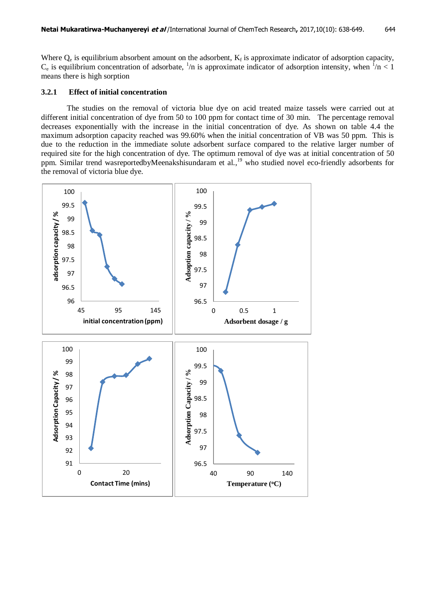Where  $Q_e$  is equilibrium absorbent amount on the adsorbent,  $K_f$  is approximate indicator of adsorption capacity,  $C_e$  is equilibrium concentration of adsorbate,  $\frac{1}{n}$  is approximate indicator of adsorption intensity, when  $\frac{1}{n} < 1$ means there is high sorption

#### **3.2.1 Effect of initial concentration**

The studies on the removal of victoria blue dye on acid treated maize tassels were carried out at different initial concentration of dye from 50 to 100 ppm for contact time of 30 min. The percentage removal decreases exponentially with the increase in the initial concentration of dye. As shown on table 4.4 the maximum adsorption capacity reached was 99.60% when the initial concentration of VB was 50 ppm. This is due to the reduction in the immediate solute adsorbent surface compared to the relative larger number of required site for the high concentration of dye. The optimum removal of dye was at initial concentration of 50 ppm. Similar trend wasreportedbyMeenakshisundaram et al.,<sup>19</sup> who studied novel eco-friendly adsorbents for the removal of victoria blue dye.

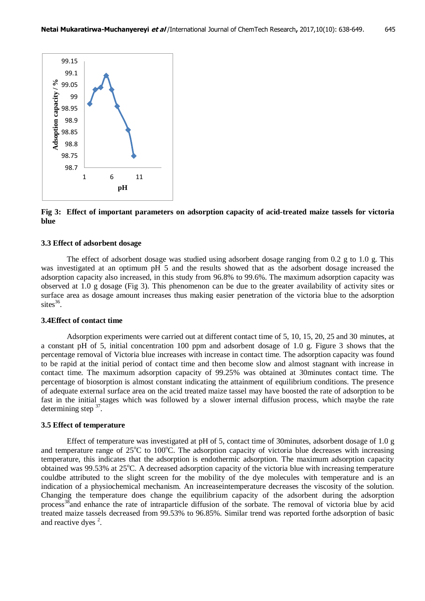

**Fig 3: Effect of important parameters on adsorption capacity of acid-treated maize tassels for victoria blue**

#### **3.3 Effect of adsorbent dosage**

The effect of adsorbent dosage was studied using adsorbent dosage ranging from 0.2 g to 1.0 g. This was investigated at an optimum pH 5 and the results showed that as the adsorbent dosage increased the adsorption capacity also increased, in this study from 96.8% to 99.6%. The maximum adsorption capacity was observed at 1.0 g dosage (Fig 3). This phenomenon can be due to the greater availability of activity sites or surface area as dosage amount increases thus making easier penetration of the victoria blue to the adsorption  $\text{sites}^{36}$ .

#### **3.4Effect of contact time**

Adsorption experiments were carried out at different contact time of 5, 10, 15, 20, 25 and 30 minutes, at a constant pH of 5, initial concentration 100 ppm and adsorbent dosage of 1.0 g. Figure 3 shows that the percentage removal of Victoria blue increases with increase in contact time. The adsorption capacity was found to be rapid at the initial period of contact time and then become slow and almost stagnant with increase in contact time. The maximum adsorption capacity of 99.25% was obtained at 30minutes contact time. The percentage of biosorption is almost constant indicating the attainment of equilibrium conditions. The presence of adequate external surface area on the acid treated maize tassel may have boosted the rate of adsorption to be fast in the initial stages which was followed by a slower internal diffusion process, which maybe the rate determining step  $37$ .

### **3.5 Effect of temperature**

Effect of temperature was investigated at pH of 5, contact time of 30minutes, adsorbent dosage of 1.0 g and temperature range of  $25^{\circ}$ C to  $100^{\circ}$ C. The adsorption capacity of victoria blue decreases with increasing temperature, this indicates that the adsorption is endothermic adsorption. The maximum adsorption capacity obtained was  $99.53\%$  at  $25^{\circ}$ C. A decreased adsorption capacity of the victoria blue with increasing temperature couldbe attributed to the slight screen for the mobility of the dye molecules with temperature and is an indication of a physiochemical mechanism. An increaseintemperature decreases the viscosity of the solution. Changing the temperature does change the equilibrium capacity of the adsorbent during the adsorption process<sup>38</sup>and enhance the rate of intraparticle diffusion of the sorbate. The removal of victoria blue by acid treated maize tassels decreased from 99.53% to 96.85%. Similar trend was reported forthe adsorption of basic and reactive dyes  $2$ .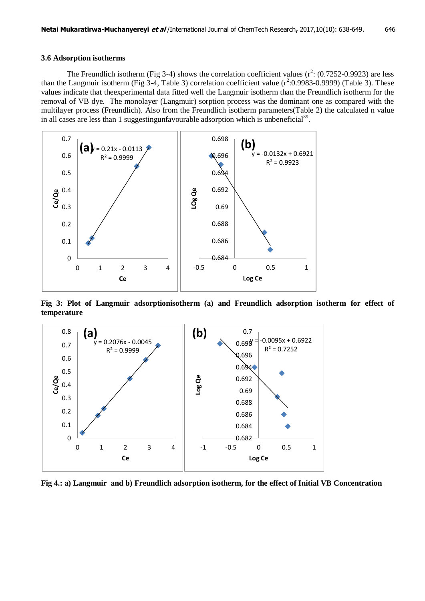The Freundlich isotherm (Fig 3-4) shows the correlation coefficient values  $(r^2: (0.7252 - 0.9923)$  are less than the Langmuir isotherm (Fig 3-4, Table 3) correlation coefficient value  $(r^2:0.9983-0.9999)$  (Table 3). These values indicate that theexperimental data fitted well the Langmuir isotherm than the Freundlich isotherm for the removal of VB dye. The monolayer (Langmuir) sorption process was the dominant one as compared with the multilayer process (Freundlich). Also from the Freundlich isotherm parameters(Table 2) the calculated n value in all cases are less than 1 suggestingunfavourable adsorption which is unbeneficial<sup>39</sup>.



**Fig 3: Plot of Langmuir adsorptionisotherm (a) and Freundlich adsorption isotherm for effect of temperature**



**Fig 4.: a) Langmuir and b) Freundlich adsorption isotherm, for the effect of Initial VB Concentration**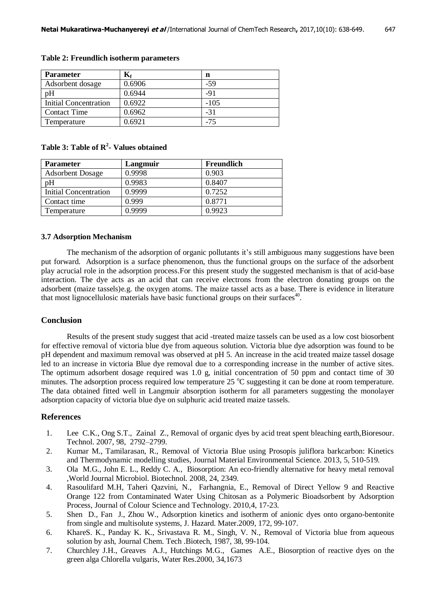| <b>Parameter</b>      |        | n      |
|-----------------------|--------|--------|
| Adsorbent dosage      | 0.6906 | $-59$  |
| pH                    | 0.6944 | $-91$  |
| Initial Concentration | 0.6922 | $-105$ |
| <b>Contact Time</b>   | 0.6962 | $-31$  |
| Temperature           | 0.6921 | $-75$  |

#### **Table 2: Freundlich isotherm parameters**

# **Table 3: Table of R<sup>2</sup> - Values obtained**

| <b>Parameter</b>        | Langmuir | <b>Freundlich</b> |
|-------------------------|----------|-------------------|
| <b>Adsorbent Dosage</b> | 0.9998   | 0.903             |
| pH                      | 0.9983   | 0.8407            |
| Initial Concentration   | 0.9999   | 0.7252            |
| Contact time            | 0.999    | 0.8771            |
| Temperature             | 0.9999   | 0.9923            |

#### **3.7 Adsorption Mechanism**

The mechanism of the adsorption of organic pollutants it's still ambiguous many suggestions have been put forward. Adsorption is a surface phenomenon, thus the functional groups on the surface of the adsorbent play acrucial role in the adsorption process.For this present study the suggested mechanism is that of acid-base interaction. The dye acts as an acid that can receive electrons from the electron donating groups on the adsorbent (maize tassels)e.g. the oxygen atoms. The maize tassel acts as a base. There is evidence in literature that most lignocellulosic materials have basic functional groups on their surfaces<sup>40</sup>.

#### **Conclusion**

Results of the present study suggest that acid -treated maize tassels can be used as a low cost biosorbent for effective removal of victoria blue dye from aqueous solution. Victoria blue dye adsorption was found to be pH dependent and maximum removal was observed at pH 5. An increase in the acid treated maize tassel dosage led to an increase in victoria Blue dye removal due to a corresponding increase in the number of active sites. The optimum adsorbent dosage required was 1.0 g, initial concentration of 50 ppm and contact time of 30 minutes. The adsorption process required low temperature  $25^{\circ}$ C suggesting it can be done at room temperature. The data obtained fitted well in Langmuir absorption isotherm for all parameters suggesting the monolayer adsorption capacity of victoria blue dye on sulphuric acid treated maize tassels.

# **References**

- 1. Lee C.K., Ong S.T., Zainal Z., Removal of organic dyes by acid treat spent bleaching earth,Bioresour. Technol. 2007, 98, 2792–2799.
- 2. Kumar M., Tamilarasan, R., Removal of Victoria Blue using Prosopis juliflora barkcarbon: Kinetics and Thermodynamic modelling studies, Journal Material Environmental Science. 2013, 5, 510-519.
- 3. Ola M.G., John E. L., Reddy C. A., Biosorption: An eco-friendly alternative for heavy metal removal ,World Journal Microbiol. Biotechnol. 2008, 24, 2349.
- 4. Rasoulifard M.H, Taheri Qazvini, N., Farhangnia, E., Removal of Direct Yellow 9 and Reactive Orange 122 from Contaminated Water Using Chitosan as a Polymeric Bioadsorbent by Adsorption Process, Journal of Colour Science and Technology. 2010,4, 17-23.
- 5. Shen D., Fan J., Zhou W., Adsorption kinetics and isotherm of anionic dyes onto organo-bentonite from single and multisolute systems, J. Hazard. Mater.2009, 172, 99-107.
- 6. KhareS. K., Panday K. K., Srivastava R. M., Singh, V. N., Removal of Victoria blue from aqueous solution by ash, Journal Chem. Tech .Biotech, 1987, 38, 99-104.
- 7. Churchley J.H., Greaves A.J., Hutchings M.G., Games A.E., Biosorption of reactive dyes on the green alga Chlorella vulgaris, Water Res.2000, 34,1673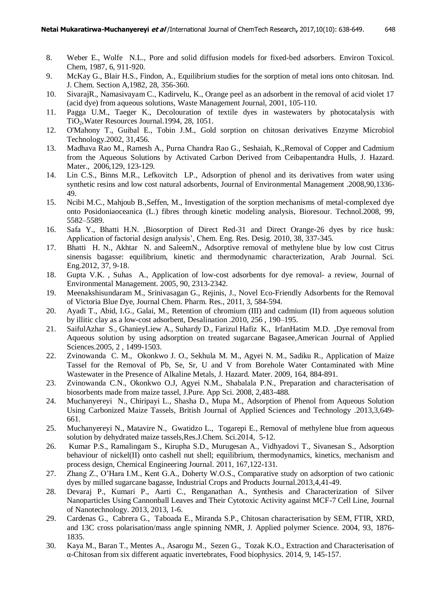- 8. Weber E., Wolfe N.L., Pore and solid diffusion models for fixed-bed adsorbers. Environ Toxicol. Chem, 1987, 6, 911-920.
- 9. McKay G., Blair H.S., Findon, A., Equilibrium studies for the sorption of metal ions onto chitosan. Ind. J. Chem. Section A,1982, 28, 356-360.
- 10. SivarajR., Namasivayam C., Kadirvelu, K., Orange peel as an adsorbent in the removal of acid violet 17 (acid dye) from aqueous solutions, Waste Management Journal, 2001, 105-110.
- 11. Pagga U.M., Taeger K., Decolouration of textile dyes in wastewaters by photocatalysis with TiO2,Water Resources Journal.1994, 28, 1051.
- 12. O'Mahony T., Guibal E., Tobin J.M., Gold sorption on chitosan derivatives Enzyme Microbiol Technology.2002, 31,456.
- 13. Madhava Rao M., Ramesh A., Purna Chandra Rao G., Seshaiah, K.,Removal of Copper and Cadmium from the Aqueous Solutions by Activated Carbon Derived from Ceibapentandra Hulls, J. Hazard. Mater., 2006,129, 123-129.
- 14. Lin C.S., Binns M.R., Lefkovitch LP., Adsorption of phenol and its derivatives from water using synthetic resins and low cost natural adsorbents, Journal of Environmental Management .2008,90,1336- 49.
- 15. Ncibi M.C., Mahjoub B.,Seffen, M., Investigation of the sorption mechanisms of metal-complexed dye onto Posidoniaoceanica (L.) fibres through kinetic modeling analysis, Bioresour. Technol.2008, 99, 5582–5589.
- 16. Safa Y., Bhatti H.N. ,Biosorption of Direct Red-31 and Direct Orange-26 dyes by rice husk: Application of factorial design analysis', Chem. Eng. Res. Desig. 2010, 38, 337-345.
- 17. Bhatti H. N., Akhtar N. and SaleemN., Adsorptive removal of methylene blue by low cost Citrus sinensis bagasse: equilibrium, kinetic and thermodynamic characterization, Arab Journal. Sci. Eng.2012, 37, 9-18.
- 18. Gupta V.K. , Suhas A., Application of low-cost adsorbents for dye removal- a review, Journal of Environmental Management. 2005, 90, 2313-2342.
- 19. Meenakshisundaram M., Srinivasagan G., Rejinis, J., Novel Eco-Friendly Adsorbents for the Removal of Victoria Blue Dye, Journal Chem. Pharm. Res., 2011, 3, 584-594.
- 20. Ayadi T., Abid, I.G., Galai, M., Retention of chromium (III) and cadmium (II) from aqueous solution by illitic clay as a low-cost adsorbent, Desalination .2010, 256 , 190–195.
- 21. SaifulAzhar S., GhanieyLiew A., Suhardy D., Farizul Hafiz K., IrfanHatim M.D. ,Dye removal from Aqueous solution by using adsorption on treated sugarcane Bagasee,American Journal of Applied Sciences.2005, 2 , 1499-1503.
- 22. Zvinowanda C. M., Okonkwo J. O., Sekhula M. M., Agyei N. M., Sadiku R., Application of Maize Tassel for the Removal of Pb, Se, Sr, U and V from Borehole Water Contaminated with Mine Wastewater in the Presence of Alkaline Metals, J. Hazard. Mater. 2009, 164, 884-891.
- 23. Zvinowanda C.N., Okonkwo O.J, Agyei N.M., Shabalala P.N., Preparation and characterisation of biosorbents made from maize tassel, J.Pure. App Sci. 2008, 2,483-488.
- 24. Muchanyereyi N., Chiripayi L., Shasha D., Mupa M., Adsorption of Phenol from Aqueous Solution Using Carbonized Maize Tassels, British Journal of Applied Sciences and Technology .2013,3,649- 661.
- 25. Muchanyereyi N., Matavire N., Gwatidzo L., Togarepi E., Removal of methylene blue from aqueous solution by dehydrated maize tassels,Res.J.Chem. Sci.2014, 5-12.
- 26. Kumar P.S., Ramalingam S., Kirupha S.D., Murugesan A., Vidhyadovi T., Sivanesan S., Adsorption behaviour of nickel(II) onto cashell nut shell; equilibrium, thermodynamics, kinetics, mechanism and process design, Chemical Engineering Journal. 2011, 167,122-131.
- 27. Zhang Z., O'Hara I.M., Kent G.A., Doherty W.O.S., Comparative study on adsorption of two cationic dyes by milled sugarcane bagasse, Industrial Crops and Products Journal.2013,4,41-49.
- 28. Devaraj P., Kumari P., Aarti C., Renganathan A., Synthesis and Characterization of Silver Nanoparticles Using Cannonball Leaves and Their Cytotoxic Activity against MCF-7 Cell Line, Journal of Nanotechnology. 2013, 2013, 1-6.
- 29. Cardenas G., Cabrera G., Taboada E., Miranda S.P., Chitosan characterisation by SEM, FTIR, XRD, and 13C cross polarisation/mass angle spinning NMR, J. Applied polymer Science. 2004, 93, 1876- 1835.
- 30. Kaya M., Baran T., Mentes A., Asarogu M., Sezen G., Tozak K.O., Extraction and Characterisation of α-Chitosan from six different aquatic invertebrates, Food biophysics. 2014, 9, 145-157.